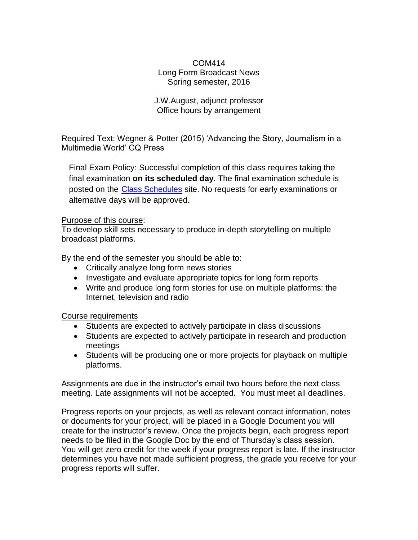### COM414 Long Form Broadcast News Spring semester, 2016

#### J.W.August, adjunct professor Office hours by arrangement

Required Text: Wegner & Potter (2015) 'Advancing the Story, Journalism in a Multimedia World' CQ Press

Final Exam Policy: Successful completion of this class requires taking the final examination **on its scheduled day**. The final examination schedule is posted on the Class [Schedules](http://www.pointloma.edu/experience/academics/class-schedules) site. No requests for early examinations or alternative days will be approved.

#### Purpose of this course:

To develop skill sets necessary to produce in-depth storytelling on multiple broadcast platforms.

By the end of the semester you should be able to:

- Critically analyze long form news stories
- Investigate and evaluate appropriate topics for long form reports
- Write and produce long form stories for use on multiple platforms: the Internet, television and radio

#### Course requirements

- Students are expected to actively participate in class discussions
- Students are expected to actively participate in research and production meetings
- Students will be producing one or more projects for playback on multiple platforms.

Assignments are due in the instructor's email two hours before the next class meeting. Late assignments will not be accepted. You must meet all deadlines.

Progress reports on your projects, as well as relevant contact information, notes or documents for your project, will be placed in a Google Document you will create for the instructor's review. Once the projects begin, each progress report needs to be filed in the Google Doc by the end of Thursday's class session. You will get zero credit for the week if your progress report is late. If the instructor determines you have not made sufficient progress, the grade you receive for your progress reports will suffer.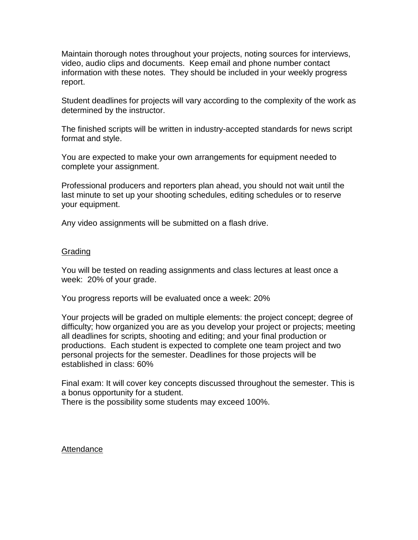Maintain thorough notes throughout your projects, noting sources for interviews, video, audio clips and documents. Keep email and phone number contact information with these notes. They should be included in your weekly progress report.

Student deadlines for projects will vary according to the complexity of the work as determined by the instructor.

The finished scripts will be written in industry-accepted standards for news script format and style.

You are expected to make your own arrangements for equipment needed to complete your assignment.

Professional producers and reporters plan ahead, you should not wait until the last minute to set up your shooting schedules, editing schedules or to reserve your equipment.

Any video assignments will be submitted on a flash drive.

#### Grading

You will be tested on reading assignments and class lectures at least once a week: 20% of your grade.

You progress reports will be evaluated once a week: 20%

Your projects will be graded on multiple elements: the project concept; degree of difficulty; how organized you are as you develop your project or projects; meeting all deadlines for scripts, shooting and editing; and your final production or productions. Each student is expected to complete one team project and two personal projects for the semester. Deadlines for those projects will be established in class: 60%

Final exam: It will cover key concepts discussed throughout the semester. This is a bonus opportunity for a student.

There is the possibility some students may exceed 100%.

#### Attendance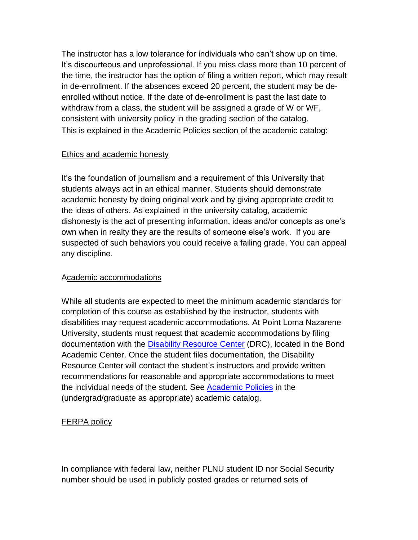The instructor has a low tolerance for individuals who can't show up on time. It's discourteous and unprofessional. If you miss class more than 10 percent of the time, the instructor has the option of filing a written report, which may result in de-enrollment. If the absences exceed 20 percent, the student may be deenrolled without notice. If the date of de-enrollment is past the last date to withdraw from a class, the student will be assigned a grade of W or WF, consistent with university policy in the grading section of the catalog. This is explained in the Academic Policies section of the academic catalog:

## Ethics and academic honesty

It's the foundation of journalism and a requirement of this University that students always act in an ethical manner. Students should demonstrate academic honesty by doing original work and by giving appropriate credit to the ideas of others. As explained in the university catalog, academic dishonesty is the act of presenting information, ideas and/or concepts as one's own when in realty they are the results of someone else's work. If you are suspected of such behaviors you could receive a failing grade. You can appeal any discipline.

### Academic accommodations

While all students are expected to meet the minimum academic standards for completion of this course as established by the instructor, students with disabilities may request academic accommodations. At Point Loma Nazarene University, students must request that academic accommodations by filing documentation with the Disability [Resource Center](http://www.pointloma.edu/experience/offices/administrative-offices/academic-advising-office/disability-resource-center) (DRC), located in the Bond Academic Center. Once the student files documentation, the Disability Resource Center will contact the student's instructors and provide written recommendations for reasonable and appropriate accommodations to meet the individual needs of the student. See **Academic Policies** in the (undergrad/graduate as appropriate) academic catalog.

# FERPA policy

In compliance with federal law, neither PLNU student ID nor Social Security number should be used in publicly posted grades or returned sets of